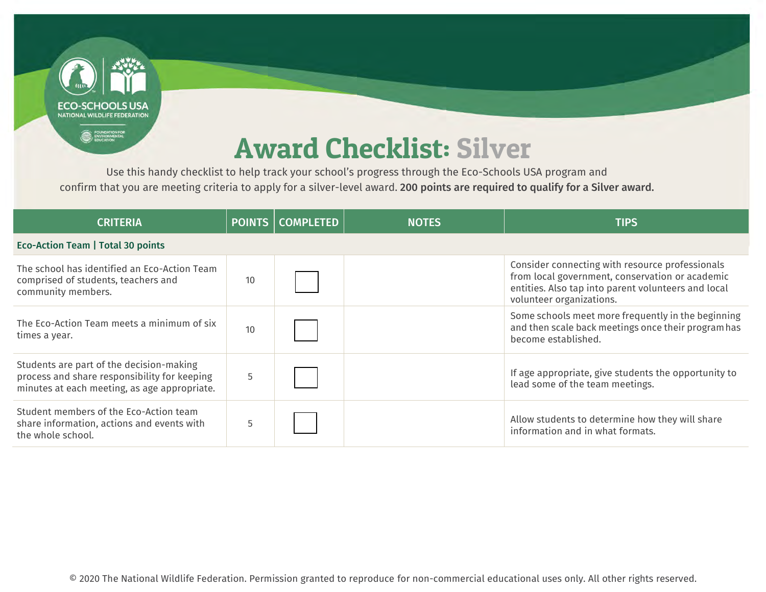

Use this handy checklist to help track your school's progress through the Eco-Schools USA program and confirm that you are meeting criteria to apply for a silver-level award. 200 points are required to qualify for a Silver award.

| <b>CRITERIA</b>                                                                                                                          |    | <b>POINTS COMPLETED</b> | <b>NOTES</b> | <b>TIPS</b>                                                                                                                                                                           |
|------------------------------------------------------------------------------------------------------------------------------------------|----|-------------------------|--------------|---------------------------------------------------------------------------------------------------------------------------------------------------------------------------------------|
| Eco-Action Team   Total 30 points                                                                                                        |    |                         |              |                                                                                                                                                                                       |
| The school has identified an Eco-Action Team<br>comprised of students, teachers and<br>community members.                                | 10 |                         |              | Consider connecting with resource professionals<br>from local government, conservation or academic<br>entities. Also tap into parent volunteers and local<br>volunteer organizations. |
| The Eco-Action Team meets a minimum of six<br>times a year.                                                                              | 10 |                         |              | Some schools meet more frequently in the beginning<br>and then scale back meetings once their program has<br>become established.                                                      |
| Students are part of the decision-making<br>process and share responsibility for keeping<br>minutes at each meeting, as age appropriate. | 5  |                         |              | If age appropriate, give students the opportunity to<br>lead some of the team meetings.                                                                                               |
| Student members of the Eco-Action team<br>share information, actions and events with<br>the whole school.                                | 5  |                         |              | Allow students to determine how they will share<br>information and in what formats.                                                                                                   |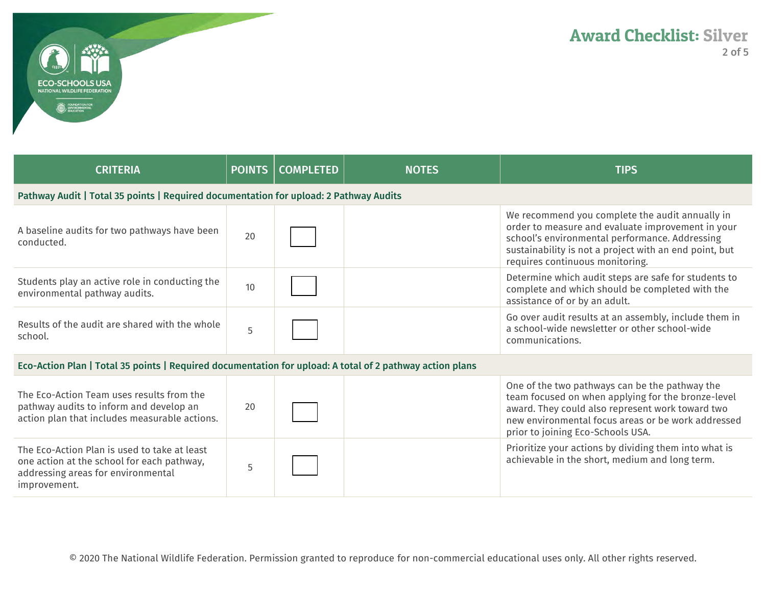

| <b>CRITERIA</b>                                                                                                                                  |    | <b>POINTS   COMPLETED</b> | <b>NOTES</b> | <b>TIPS</b>                                                                                                                                                                                                                                         |
|--------------------------------------------------------------------------------------------------------------------------------------------------|----|---------------------------|--------------|-----------------------------------------------------------------------------------------------------------------------------------------------------------------------------------------------------------------------------------------------------|
| Pathway Audit   Total 35 points   Required documentation for upload: 2 Pathway Audits                                                            |    |                           |              |                                                                                                                                                                                                                                                     |
| A baseline audits for two pathways have been<br>conducted.                                                                                       | 20 |                           |              | We recommend you complete the audit annually in<br>order to measure and evaluate improvement in your<br>school's environmental performance. Addressing<br>sustainability is not a project with an end point, but<br>requires continuous monitoring. |
| Students play an active role in conducting the<br>environmental pathway audits.                                                                  | 10 |                           |              | Determine which audit steps are safe for students to<br>complete and which should be completed with the<br>assistance of or by an adult.                                                                                                            |
| Results of the audit are shared with the whole<br>school.                                                                                        | 5  |                           |              | Go over audit results at an assembly, include them in<br>a school-wide newsletter or other school-wide<br>communications.                                                                                                                           |
| Eco-Action Plan   Total 35 points   Required documentation for upload: A total of 2 pathway action plans                                         |    |                           |              |                                                                                                                                                                                                                                                     |
| The Eco-Action Team uses results from the<br>pathway audits to inform and develop an<br>action plan that includes measurable actions.            | 20 |                           |              | One of the two pathways can be the pathway the<br>team focused on when applying for the bronze-level<br>award. They could also represent work toward two<br>new environmental focus areas or be work addressed<br>prior to joining Eco-Schools USA. |
| The Eco-Action Plan is used to take at least<br>one action at the school for each pathway,<br>addressing areas for environmental<br>improvement. | 5  |                           |              | Prioritize your actions by dividing them into what is<br>achievable in the short, medium and long term.                                                                                                                                             |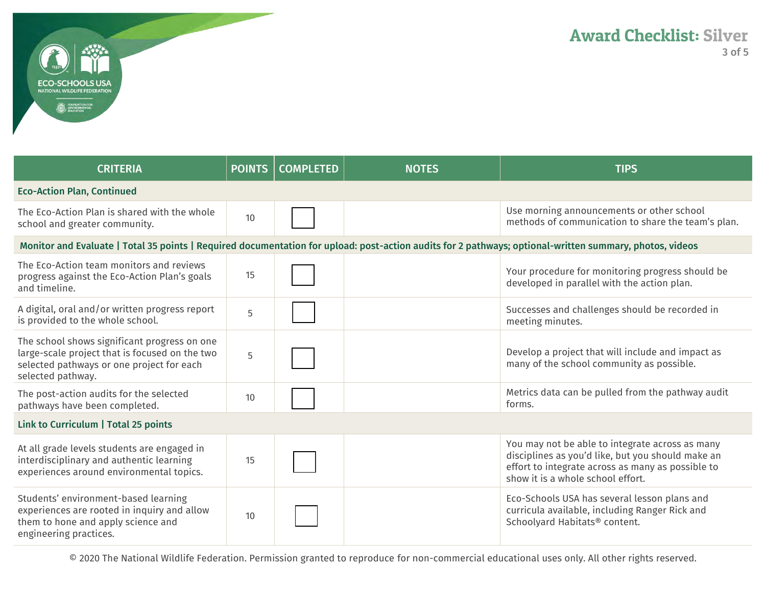

| <b>CRITERIA</b>                                                                                                                                                  | <b>POINTS</b> | <b>COMPLETED</b> | <b>NOTES</b> | <b>TIPS</b>                                                                                                                                                                                    |
|------------------------------------------------------------------------------------------------------------------------------------------------------------------|---------------|------------------|--------------|------------------------------------------------------------------------------------------------------------------------------------------------------------------------------------------------|
| <b>Eco-Action Plan, Continued</b>                                                                                                                                |               |                  |              |                                                                                                                                                                                                |
| The Eco-Action Plan is shared with the whole<br>school and greater community.                                                                                    | 10            |                  |              | Use morning announcements or other school<br>methods of communication to share the team's plan.                                                                                                |
| Monitor and Evaluate   Total 35 points   Required documentation for upload: post-action audits for 2 pathways; optional-written summary, photos, videos          |               |                  |              |                                                                                                                                                                                                |
| The Eco-Action team monitors and reviews<br>progress against the Eco-Action Plan's goals<br>and timeline.                                                        | 15            |                  |              | Your procedure for monitoring progress should be<br>developed in parallel with the action plan.                                                                                                |
| A digital, oral and/or written progress report<br>is provided to the whole school.                                                                               | 5             |                  |              | Successes and challenges should be recorded in<br>meeting minutes.                                                                                                                             |
| The school shows significant progress on one<br>large-scale project that is focused on the two<br>selected pathways or one project for each<br>selected pathway. | 5             |                  |              | Develop a project that will include and impact as<br>many of the school community as possible.                                                                                                 |
| The post-action audits for the selected<br>pathways have been completed.                                                                                         | 10            |                  |              | Metrics data can be pulled from the pathway audit<br>forms.                                                                                                                                    |
| Link to Curriculum   Total 25 points                                                                                                                             |               |                  |              |                                                                                                                                                                                                |
| At all grade levels students are engaged in<br>interdisciplinary and authentic learning<br>experiences around environmental topics.                              | 15            |                  |              | You may not be able to integrate across as many<br>disciplines as you'd like, but you should make an<br>effort to integrate across as many as possible to<br>show it is a whole school effort. |
| Students' environment-based learning<br>experiences are rooted in inquiry and allow<br>them to hone and apply science and<br>engineering practices.              | 10            |                  |              | Eco-Schools USA has several lesson plans and<br>curricula available, including Ranger Rick and<br>Schoolyard Habitats® content.                                                                |

© 2020 The National Wildlife Federation. Permission granted to reproduce for non-commercial educational uses only. All other rights reserved.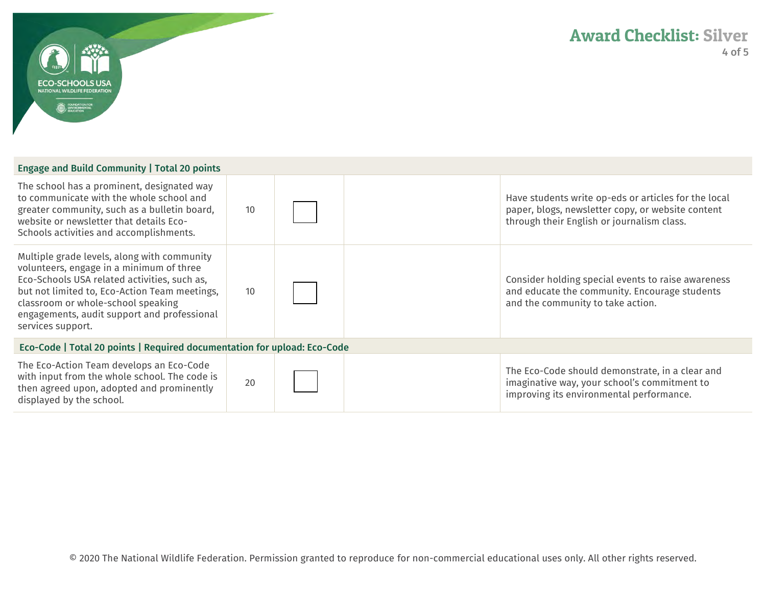

| Engage and Build Community   Total 20 points                                                                                                                                                                                                                                                       |    |  |  |                                                                                                                                                         |
|----------------------------------------------------------------------------------------------------------------------------------------------------------------------------------------------------------------------------------------------------------------------------------------------------|----|--|--|---------------------------------------------------------------------------------------------------------------------------------------------------------|
| The school has a prominent, designated way<br>to communicate with the whole school and<br>greater community, such as a bulletin board,<br>website or newsletter that details Eco-<br>Schools activities and accomplishments.                                                                       | 10 |  |  | Have students write op-eds or articles for the local<br>paper, blogs, newsletter copy, or website content<br>through their English or journalism class. |
| Multiple grade levels, along with community<br>volunteers, engage in a minimum of three<br>Eco-Schools USA related activities, such as,<br>but not limited to, Eco-Action Team meetings,<br>classroom or whole-school speaking<br>engagements, audit support and professional<br>services support. | 10 |  |  | Consider holding special events to raise awareness<br>and educate the community. Encourage students<br>and the community to take action.                |
| Eco-Code   Total 20 points   Required documentation for upload: Eco-Code                                                                                                                                                                                                                           |    |  |  |                                                                                                                                                         |
| The Eco-Action Team develops an Eco-Code<br>with input from the whole school. The code is<br>then agreed upon, adopted and prominently<br>displayed by the school.                                                                                                                                 | 20 |  |  | The Eco-Code should demonstrate, in a clear and<br>imaginative way, your school's commitment to<br>improving its environmental performance.             |